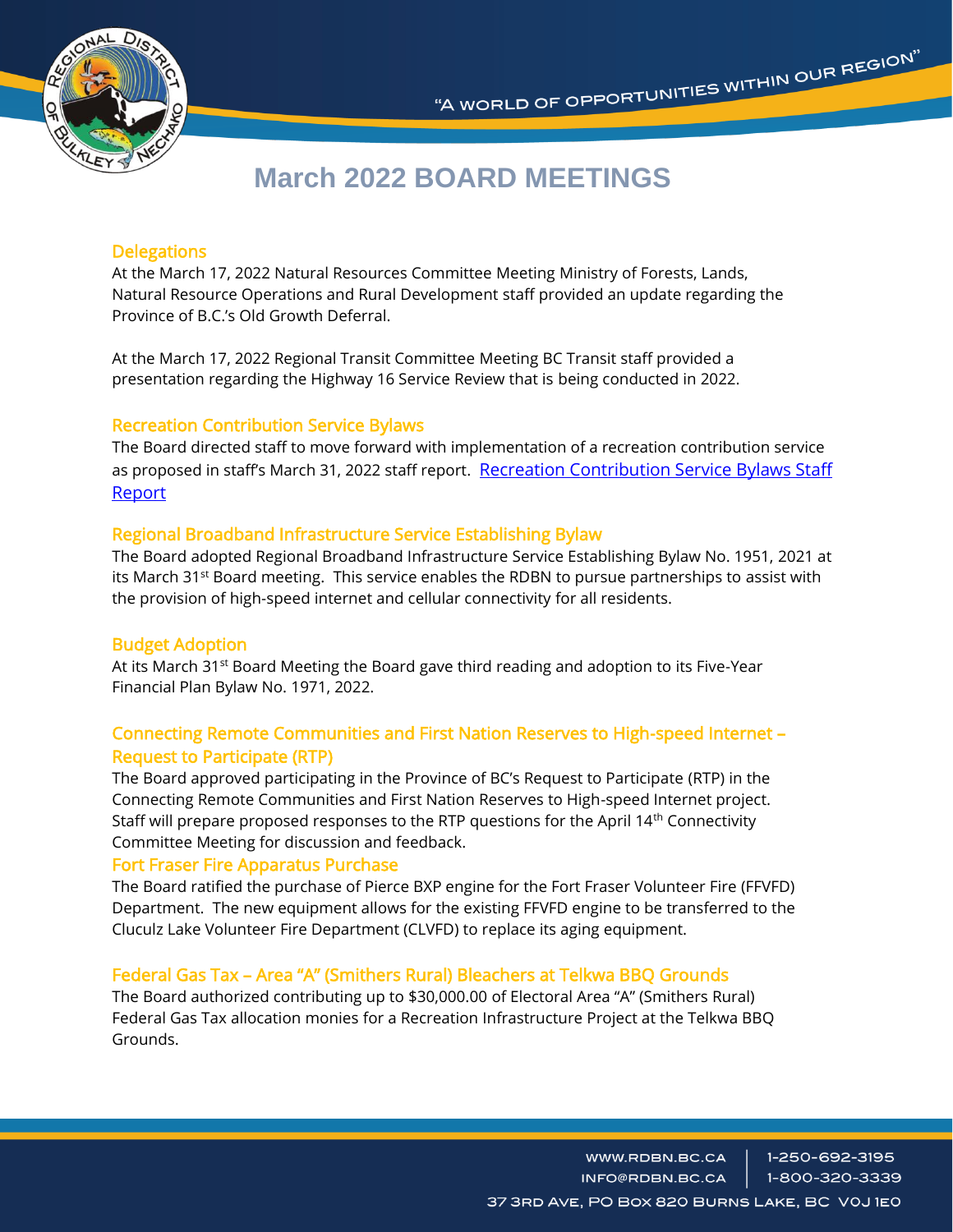

# **March 2022 BOARD MEETINGS**

# **Delegations**

At the March 17, 2022 Natural Resources Committee Meeting Ministry of Forests, Lands, Natural Resource Operations and Rural Development staff provided an update regarding the Province of B.C.'s Old Growth Deferral.

At the March 17, 2022 Regional Transit Committee Meeting BC Transit staff provided a presentation regarding the Highway 16 Service Review that is being conducted in 2022.

# Recreation Contribution Service Bylaws

The Board directed staff to move forward with implementation of a recreation contribution service as proposed in staff's March 31, 2022 staff report. Recreation Contribution Service Bylaws Staff [Report](https://www.rdbn.bc.ca/application/files/2716/4824/3887/Board_Agenda_March_31_2022-20220325SOnilPww.pdf)

# Regional Broadband Infrastructure Service Establishing Bylaw

The Board adopted Regional Broadband Infrastructure Service Establishing Bylaw No. 1951, 2021 at its March  $31^{st}$  Board meeting. This service enables the RDBN to pursue partnerships to assist with the provision of high-speed internet and cellular connectivity for all residents.

### Budget Adoption

At its March 31<sup>st</sup> Board Meeting the Board gave third reading and adoption to its Five-Year Financial Plan Bylaw No. 1971, 2022.

# Connecting Remote Communities and First Nation Reserves to High-speed Internet – Request to Participate (RTP)

The Board approved participating in the Province of BC's Request to Participate (RTP) in the Connecting Remote Communities and First Nation Reserves to High-speed Internet project. Staff will prepare proposed responses to the RTP questions for the April 14<sup>th</sup> Connectivity Committee Meeting for discussion and feedback.

### Fort Fraser Fire Apparatus Purchase

The Board ratified the purchase of Pierce BXP engine for the Fort Fraser Volunteer Fire (FFVFD) Department. The new equipment allows for the existing FFVFD engine to be transferred to the Cluculz Lake Volunteer Fire Department (CLVFD) to replace its aging equipment.

# Federal Gas Tax – Area "A" (Smithers Rural) Bleachers at Telkwa BBQ Grounds

The Board authorized contributing up to \$30,000.00 of Electoral Area "A" (Smithers Rural) Federal Gas Tax allocation monies for a Recreation Infrastructure Project at the Telkwa BBQ Grounds.

> 1-250-692-3195 WWW.RDBN.BC.CA INFO@RDBN.BC.CA 1-800-320-3339 37 3RD AVE, PO BOX 820 BURNS LAKE, BC VOJ 1EO